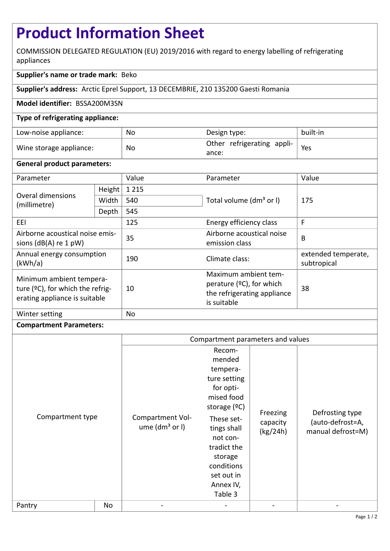# **Product Information Sheet**

COMMISSION DELEGATED REGULATION (EU) 2019/2016 with regard to energy labelling of refrigerating appliances

## **Supplier's name or trade mark:** Beko

**Supplier's address:** Arctic Eprel Support, 13 DECEMBRIE, 210 135200 Gaesti Romania

#### **Model identifier:** BSSA200M3SN

#### **Type of refrigerating appliance:**

| Low-noise appliance:    | No | Design type:                        | built-in |
|-------------------------|----|-------------------------------------|----------|
| Wine storage appliance: | No | Other refrigerating appli-<br>ance: | Yes      |

#### **General product parameters:**

| Parameter                                                                                     |        | Value   | Parameter                                                                                         | Value                              |
|-----------------------------------------------------------------------------------------------|--------|---------|---------------------------------------------------------------------------------------------------|------------------------------------|
| <b>Overal dimensions</b><br>(millimetre)                                                      | Height | 1 2 1 5 |                                                                                                   | 175                                |
|                                                                                               | Width  | 540     | Total volume (dm <sup>3</sup> or I)                                                               |                                    |
|                                                                                               | Depth  | 545     |                                                                                                   |                                    |
| EEL.                                                                                          |        | 125     | Energy efficiency class                                                                           | F                                  |
| Airborne acoustical noise emis-<br>sions $(dB(A)$ re 1 pW)                                    |        | 35      | Airborne acoustical noise<br>emission class                                                       | B                                  |
| Annual energy consumption<br>(kWh/a)                                                          |        | 190     | Climate class:                                                                                    | extended temperate,<br>subtropical |
| Minimum ambient tempera-<br>ture (°C), for which the refrig-<br>erating appliance is suitable |        | 10      | Maximum ambient tem-<br>perature $(°C)$ , for which<br>the refrigerating appliance<br>is suitable | 38                                 |
| Winter setting                                                                                |        | No      |                                                                                                   |                                    |

### **Compartment Parameters:**

|                            |    | Compartment parameters and values      |                                                                                                                                                                                                                  |                                  |                                                          |
|----------------------------|----|----------------------------------------|------------------------------------------------------------------------------------------------------------------------------------------------------------------------------------------------------------------|----------------------------------|----------------------------------------------------------|
| Compartment type<br>Pantry | No | Compartment Vol-<br>ume $(dm3$ or $I)$ | Recom-<br>mended<br>tempera-<br>ture setting<br>for opti-<br>mised food<br>storage $(°C)$<br>These set-<br>tings shall<br>not con-<br>tradict the<br>storage<br>conditions<br>set out in<br>Annex IV,<br>Table 3 | Freezing<br>capacity<br>(kg/24h) | Defrosting type<br>(auto-defrost=A,<br>manual defrost=M) |
|                            |    |                                        |                                                                                                                                                                                                                  |                                  |                                                          |